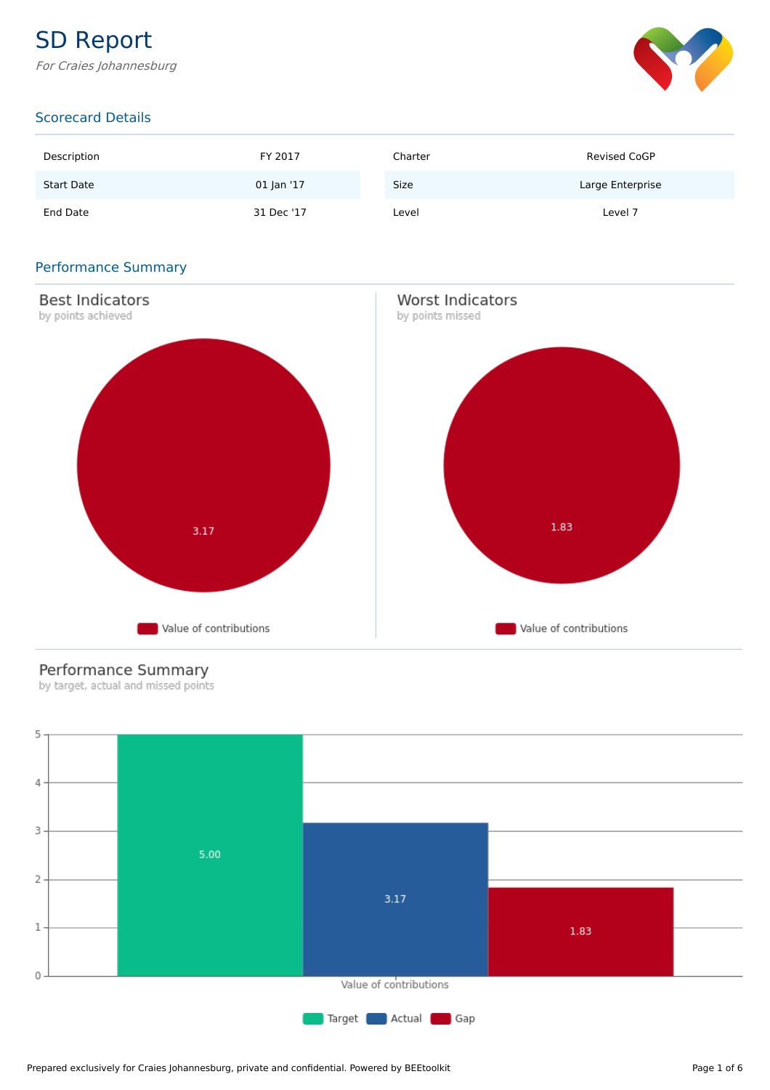# SD Report

For Craies Johannesburg



### Scorecard Details

| Description       | FY 2017    | Charter     | <b>Revised CoGP</b> |
|-------------------|------------|-------------|---------------------|
| <b>Start Date</b> | 01 Jan '17 | <b>Size</b> | Large Enterprise    |
| End Date          | 31 Dec '17 | Level       | Level 7             |

#### Performance Summary



### Performance Summary

by target, actual and missed points

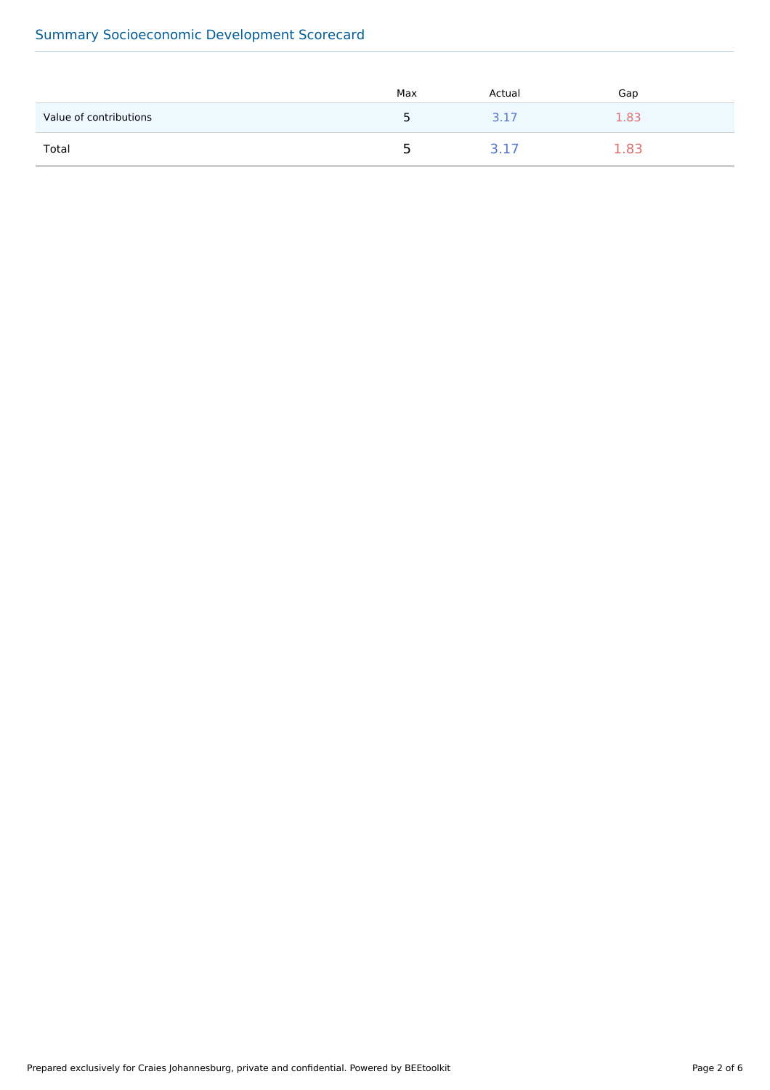## Summary Socioeconomic Development Scorecard

|                        | Max | Actual | Gap |
|------------------------|-----|--------|-----|
| Value of contributions | ∽   | 3.17   | -83 |
| Total                  | ∽   |        |     |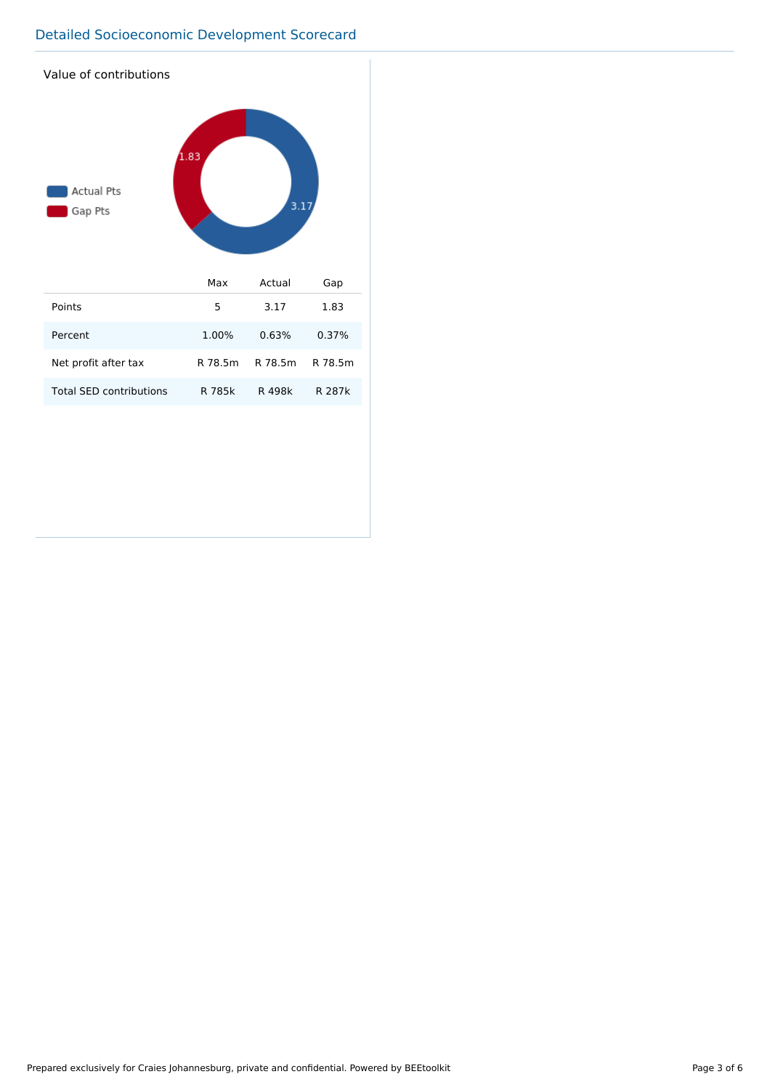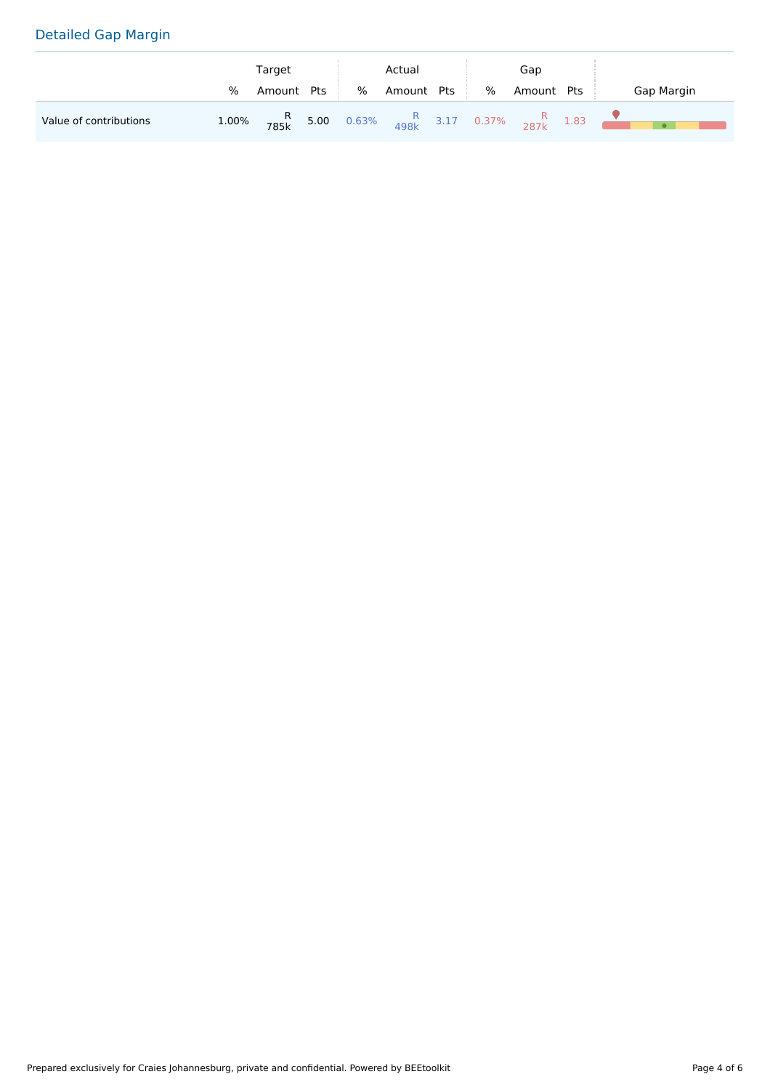# Detailed Gap Margin

|                        |       | Target                                                                |  | Actual |        | Gap |   |        |     |            |
|------------------------|-------|-----------------------------------------------------------------------|--|--------|--------|-----|---|--------|-----|------------|
|                        | %     | Amount Pts                                                            |  | %      | Amount | Pts | % | Amount | Pts | Gap Margin |
| Value of contributions | 1.00% | <b>R</b> 5.00 0.63% $\frac{R}{498k}$ 3.17 0.37% $\frac{R}{287k}$ 1.83 |  |        |        |     |   |        |     | $\bullet$  |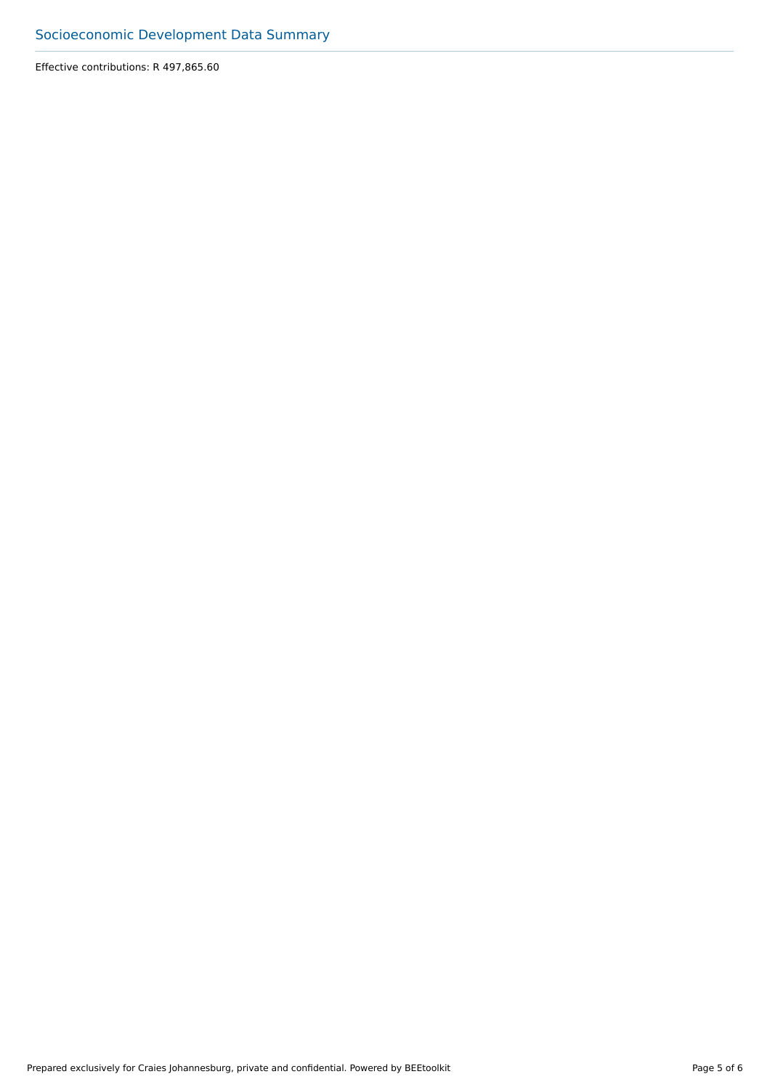Effective contributions: R 497,865.60